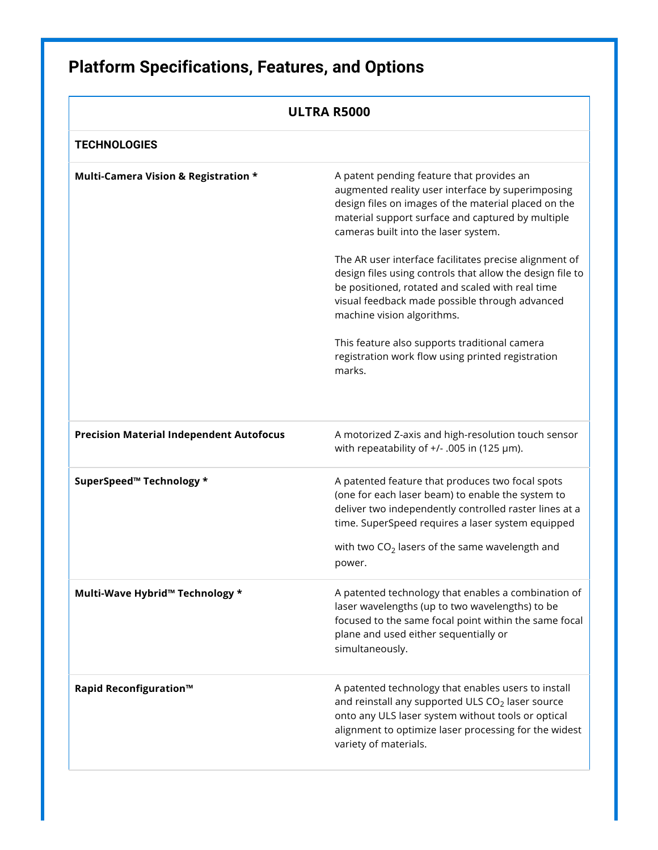## **Platform Specifications, Features, and Options**

<span id="page-0-0"></span>

| ULTRA R5000                                     |                                                                                                                                                                                                                                                                                    |
|-------------------------------------------------|------------------------------------------------------------------------------------------------------------------------------------------------------------------------------------------------------------------------------------------------------------------------------------|
| <b>TECHNOLOGIES</b>                             |                                                                                                                                                                                                                                                                                    |
| Multi-Camera Vision & Registration *            | A patent pending feature that provides an<br>augmented reality user interface by superimposing<br>design files on images of the material placed on the<br>material support surface and captured by multiple<br>cameras built into the laser system.                                |
|                                                 | The AR user interface facilitates precise alignment of<br>design files using controls that allow the design file to<br>be positioned, rotated and scaled with real time<br>visual feedback made possible through advanced<br>machine vision algorithms.                            |
|                                                 | This feature also supports traditional camera<br>registration work flow using printed registration<br>marks.                                                                                                                                                                       |
| <b>Precision Material Independent Autofocus</b> | A motorized Z-axis and high-resolution touch sensor<br>with repeatability of $+/-$ .005 in (125 µm).                                                                                                                                                                               |
| SuperSpeed™ Technology *                        | A patented feature that produces two focal spots<br>(one for each laser beam) to enable the system to<br>deliver two independently controlled raster lines at a<br>time. SuperSpeed requires a laser system equipped<br>with two $CO2$ lasers of the same wavelength and<br>power. |
| Multi-Wave Hybrid™ Technology *                 | A patented technology that enables a combination of<br>laser wavelengths (up to two wavelengths) to be<br>focused to the same focal point within the same focal<br>plane and used either sequentially or<br>simultaneously.                                                        |
| <b>Rapid Reconfiguration™</b>                   | A patented technology that enables users to install<br>and reinstall any supported ULS CO <sub>2</sub> laser source<br>onto any ULS laser system without tools or optical<br>alignment to optimize laser processing for the widest<br>variety of materials.                        |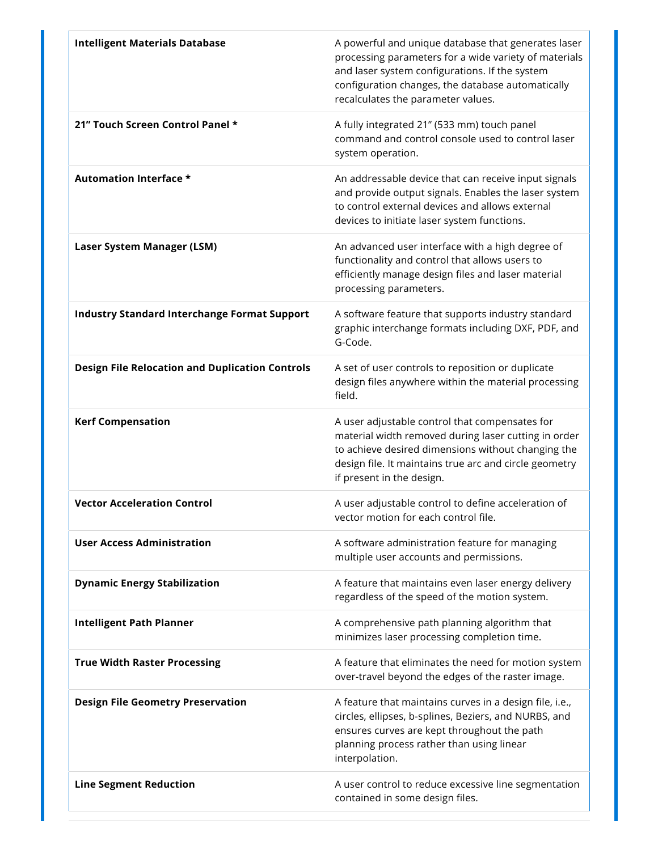| <b>Intelligent Materials Database</b>                  | A powerful and unique database that generates laser<br>processing parameters for a wide variety of materials<br>and laser system configurations. If the system<br>configuration changes, the database automatically<br>recalculates the parameter values. |
|--------------------------------------------------------|-----------------------------------------------------------------------------------------------------------------------------------------------------------------------------------------------------------------------------------------------------------|
| 21" Touch Screen Control Panel *                       | A fully integrated 21" (533 mm) touch panel<br>command and control console used to control laser<br>system operation.                                                                                                                                     |
| <b>Automation Interface *</b>                          | An addressable device that can receive input signals<br>and provide output signals. Enables the laser system<br>to control external devices and allows external<br>devices to initiate laser system functions.                                            |
| Laser System Manager (LSM)                             | An advanced user interface with a high degree of<br>functionality and control that allows users to<br>efficiently manage design files and laser material<br>processing parameters.                                                                        |
| <b>Industry Standard Interchange Format Support</b>    | A software feature that supports industry standard<br>graphic interchange formats including DXF, PDF, and<br>G-Code.                                                                                                                                      |
| <b>Design File Relocation and Duplication Controls</b> | A set of user controls to reposition or duplicate<br>design files anywhere within the material processing<br>field.                                                                                                                                       |
| <b>Kerf Compensation</b>                               | A user adjustable control that compensates for<br>material width removed during laser cutting in order<br>to achieve desired dimensions without changing the<br>design file. It maintains true arc and circle geometry<br>if present in the design.       |
| <b>Vector Acceleration Control</b>                     | A user adjustable control to define acceleration of<br>vector motion for each control file.                                                                                                                                                               |
| <b>User Access Administration</b>                      | A software administration feature for managing<br>multiple user accounts and permissions.                                                                                                                                                                 |
| <b>Dynamic Energy Stabilization</b>                    | A feature that maintains even laser energy delivery<br>regardless of the speed of the motion system.                                                                                                                                                      |
| <b>Intelligent Path Planner</b>                        | A comprehensive path planning algorithm that<br>minimizes laser processing completion time.                                                                                                                                                               |
| <b>True Width Raster Processing</b>                    | A feature that eliminates the need for motion system<br>over-travel beyond the edges of the raster image.                                                                                                                                                 |
| <b>Design File Geometry Preservation</b>               | A feature that maintains curves in a design file, i.e.,<br>circles, ellipses, b-splines, Beziers, and NURBS, and<br>ensures curves are kept throughout the path<br>planning process rather than using linear<br>interpolation.                            |
| <b>Line Segment Reduction</b>                          | A user control to reduce excessive line segmentation<br>contained in some design files.                                                                                                                                                                   |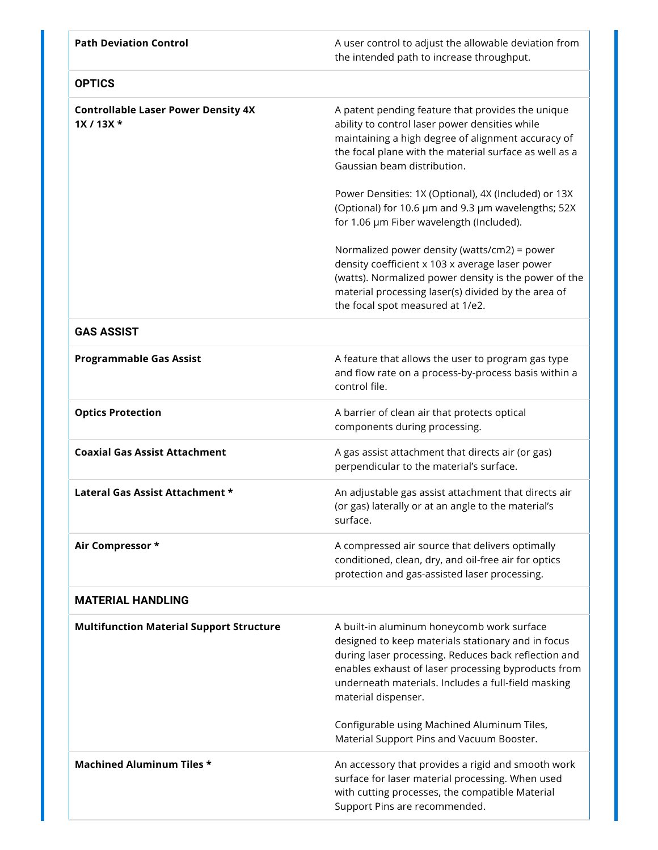| <b>Path Deviation Control</b>                           | A user control to adjust the allowable deviation from<br>the intended path to increase throughput.                                                                                                                                                                                                                                                               |
|---------------------------------------------------------|------------------------------------------------------------------------------------------------------------------------------------------------------------------------------------------------------------------------------------------------------------------------------------------------------------------------------------------------------------------|
| <b>OPTICS</b>                                           |                                                                                                                                                                                                                                                                                                                                                                  |
| <b>Controllable Laser Power Density 4X</b><br>$1X/13X*$ | A patent pending feature that provides the unique<br>ability to control laser power densities while<br>maintaining a high degree of alignment accuracy of<br>the focal plane with the material surface as well as a<br>Gaussian beam distribution.<br>Power Densities: 1X (Optional), 4X (Included) or 13X<br>(Optional) for 10.6 µm and 9.3 µm wavelengths; 52X |
|                                                         | for 1.06 um Fiber wavelength (Included).<br>Normalized power density (watts/cm2) = power<br>density coefficient x 103 x average laser power<br>(watts). Normalized power density is the power of the<br>material processing laser(s) divided by the area of<br>the focal spot measured at 1/e2.                                                                  |
| <b>GAS ASSIST</b>                                       |                                                                                                                                                                                                                                                                                                                                                                  |
| <b>Programmable Gas Assist</b>                          | A feature that allows the user to program gas type<br>and flow rate on a process-by-process basis within a<br>control file.                                                                                                                                                                                                                                      |
| <b>Optics Protection</b>                                | A barrier of clean air that protects optical<br>components during processing.                                                                                                                                                                                                                                                                                    |
| <b>Coaxial Gas Assist Attachment</b>                    | A gas assist attachment that directs air (or gas)<br>perpendicular to the material's surface.                                                                                                                                                                                                                                                                    |
| Lateral Gas Assist Attachment *                         | An adjustable gas assist attachment that directs air<br>(or gas) laterally or at an angle to the material's<br>surface.                                                                                                                                                                                                                                          |
| Air Compressor *                                        | A compressed air source that delivers optimally<br>conditioned, clean, dry, and oil-free air for optics<br>protection and gas-assisted laser processing.                                                                                                                                                                                                         |
| <b>MATERIAL HANDLING</b>                                |                                                                                                                                                                                                                                                                                                                                                                  |
| <b>Multifunction Material Support Structure</b>         | A built-in aluminum honeycomb work surface<br>designed to keep materials stationary and in focus<br>during laser processing. Reduces back reflection and<br>enables exhaust of laser processing byproducts from<br>underneath materials. Includes a full-field masking<br>material dispenser.                                                                    |
|                                                         | Configurable using Machined Aluminum Tiles,<br>Material Support Pins and Vacuum Booster.                                                                                                                                                                                                                                                                         |
| <b>Machined Aluminum Tiles *</b>                        | An accessory that provides a rigid and smooth work<br>surface for laser material processing. When used<br>with cutting processes, the compatible Material<br>Support Pins are recommended.                                                                                                                                                                       |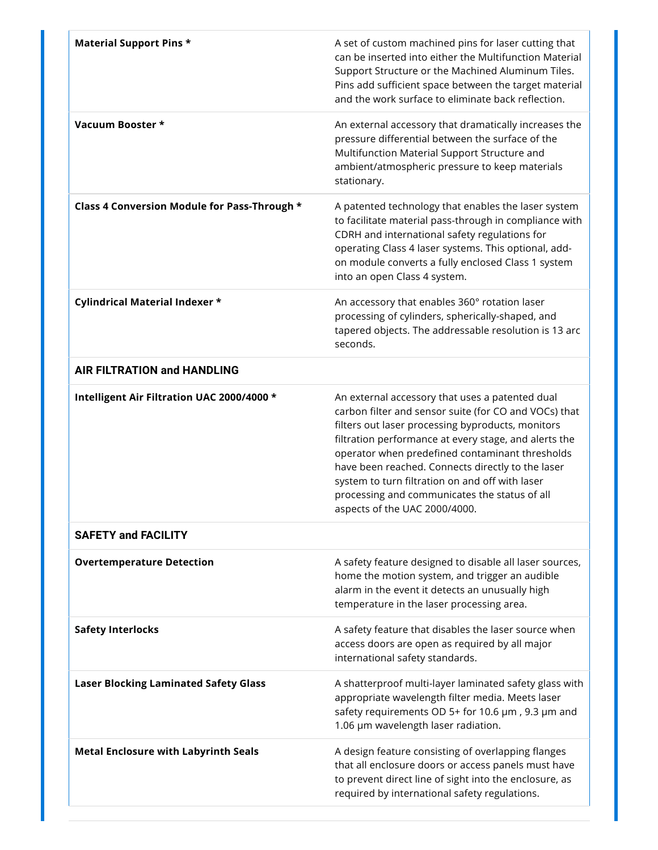| <b>Material Support Pins *</b>               | A set of custom machined pins for laser cutting that<br>can be inserted into either the Multifunction Material<br>Support Structure or the Machined Aluminum Tiles.<br>Pins add sufficient space between the target material<br>and the work surface to eliminate back reflection.                                                                                                                                                                                  |
|----------------------------------------------|---------------------------------------------------------------------------------------------------------------------------------------------------------------------------------------------------------------------------------------------------------------------------------------------------------------------------------------------------------------------------------------------------------------------------------------------------------------------|
| Vacuum Booster *                             | An external accessory that dramatically increases the<br>pressure differential between the surface of the<br>Multifunction Material Support Structure and<br>ambient/atmospheric pressure to keep materials<br>stationary.                                                                                                                                                                                                                                          |
| Class 4 Conversion Module for Pass-Through * | A patented technology that enables the laser system<br>to facilitate material pass-through in compliance with<br>CDRH and international safety regulations for<br>operating Class 4 laser systems. This optional, add-<br>on module converts a fully enclosed Class 1 system<br>into an open Class 4 system.                                                                                                                                                        |
| Cylindrical Material Indexer *               | An accessory that enables 360° rotation laser<br>processing of cylinders, spherically-shaped, and<br>tapered objects. The addressable resolution is 13 arc<br>seconds.                                                                                                                                                                                                                                                                                              |
| <b>AIR FILTRATION and HANDLING</b>           |                                                                                                                                                                                                                                                                                                                                                                                                                                                                     |
| Intelligent Air Filtration UAC 2000/4000 *   | An external accessory that uses a patented dual<br>carbon filter and sensor suite (for CO and VOCs) that<br>filters out laser processing byproducts, monitors<br>filtration performance at every stage, and alerts the<br>operator when predefined contaminant thresholds<br>have been reached. Connects directly to the laser<br>system to turn filtration on and off with laser<br>processing and communicates the status of all<br>aspects of the UAC 2000/4000. |
| <b>SAFETY and FACILITY</b>                   |                                                                                                                                                                                                                                                                                                                                                                                                                                                                     |
| <b>Overtemperature Detection</b>             | A safety feature designed to disable all laser sources,<br>home the motion system, and trigger an audible<br>alarm in the event it detects an unusually high<br>temperature in the laser processing area.                                                                                                                                                                                                                                                           |
| <b>Safety Interlocks</b>                     | A safety feature that disables the laser source when<br>access doors are open as required by all major<br>international safety standards.                                                                                                                                                                                                                                                                                                                           |
| <b>Laser Blocking Laminated Safety Glass</b> | A shatterproof multi-layer laminated safety glass with<br>appropriate wavelength filter media. Meets laser<br>safety requirements OD 5+ for 10.6 µm, 9.3 µm and<br>1.06 µm wavelength laser radiation.                                                                                                                                                                                                                                                              |
| <b>Metal Enclosure with Labyrinth Seals</b>  | A design feature consisting of overlapping flanges<br>that all enclosure doors or access panels must have<br>to prevent direct line of sight into the enclosure, as<br>required by international safety regulations.                                                                                                                                                                                                                                                |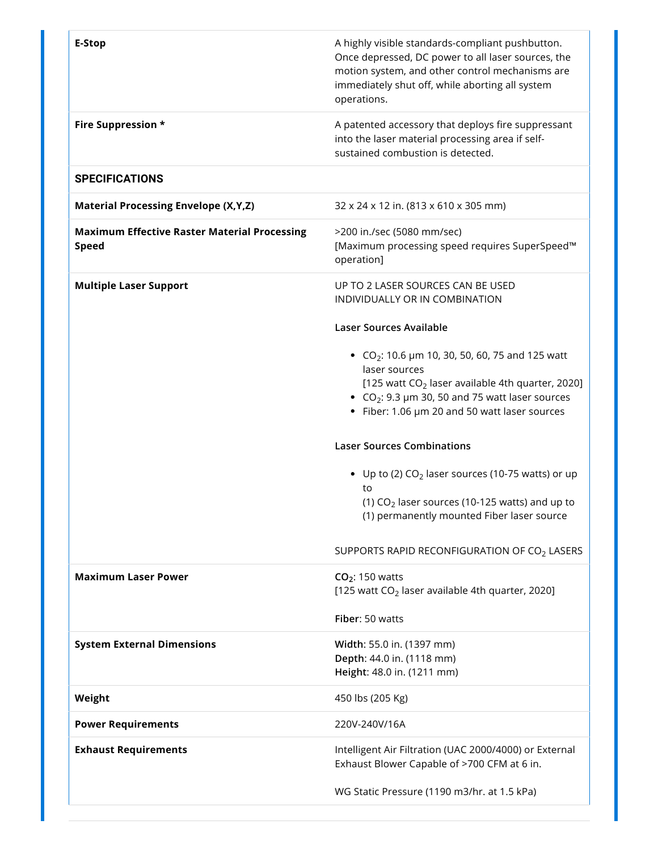| <b>E-Stop</b>                                                       | A highly visible standards-compliant pushbutton.<br>Once depressed, DC power to all laser sources, the<br>motion system, and other control mechanisms are<br>immediately shut off, while aborting all system<br>operations.                             |
|---------------------------------------------------------------------|---------------------------------------------------------------------------------------------------------------------------------------------------------------------------------------------------------------------------------------------------------|
| Fire Suppression *                                                  | A patented accessory that deploys fire suppressant<br>into the laser material processing area if self-<br>sustained combustion is detected.                                                                                                             |
| <b>SPECIFICATIONS</b>                                               |                                                                                                                                                                                                                                                         |
| <b>Material Processing Envelope (X,Y,Z)</b>                         | 32 x 24 x 12 in. (813 x 610 x 305 mm)                                                                                                                                                                                                                   |
| <b>Maximum Effective Raster Material Processing</b><br><b>Speed</b> | >200 in./sec (5080 mm/sec)<br>[Maximum processing speed requires SuperSpeed™<br>operation]                                                                                                                                                              |
| <b>Multiple Laser Support</b>                                       | UP TO 2 LASER SOURCES CAN BE USED<br>INDIVIDUALLY OR IN COMBINATION                                                                                                                                                                                     |
|                                                                     | <b>Laser Sources Available</b>                                                                                                                                                                                                                          |
|                                                                     | • CO <sub>2</sub> : 10.6 $\mu$ m 10, 30, 50, 60, 75 and 125 watt<br>laser sources<br>[125 watt $CO2$ laser available 4th quarter, 2020]<br>• CO <sub>2</sub> : 9.3 µm 30, 50 and 75 watt laser sources<br>• Fiber: 1.06 µm 20 and 50 watt laser sources |
|                                                                     | <b>Laser Sources Combinations</b>                                                                                                                                                                                                                       |
|                                                                     | • Up to (2) $CO2$ laser sources (10-75 watts) or up<br>to<br>(1) $CO2$ laser sources (10-125 watts) and up to<br>(1) permanently mounted Fiber laser source                                                                                             |
|                                                                     | SUPPORTS RAPID RECONFIGURATION OF CO <sub>2</sub> LASERS                                                                                                                                                                                                |
| <b>Maximum Laser Power</b>                                          | CO <sub>2</sub> : 150 watts<br>[125 watt $CO2$ laser available 4th quarter, 2020]                                                                                                                                                                       |
|                                                                     | Fiber: 50 watts                                                                                                                                                                                                                                         |
| <b>System External Dimensions</b>                                   | Width: 55.0 in. (1397 mm)<br>Depth: 44.0 in. (1118 mm)<br>Height: 48.0 in. (1211 mm)                                                                                                                                                                    |
| Weight                                                              | 450 lbs (205 Kg)                                                                                                                                                                                                                                        |
| <b>Power Requirements</b>                                           | 220V-240V/16A                                                                                                                                                                                                                                           |
| <b>Exhaust Requirements</b>                                         | Intelligent Air Filtration (UAC 2000/4000) or External<br>Exhaust Blower Capable of >700 CFM at 6 in.                                                                                                                                                   |
|                                                                     | WG Static Pressure (1190 m3/hr. at 1.5 kPa)                                                                                                                                                                                                             |